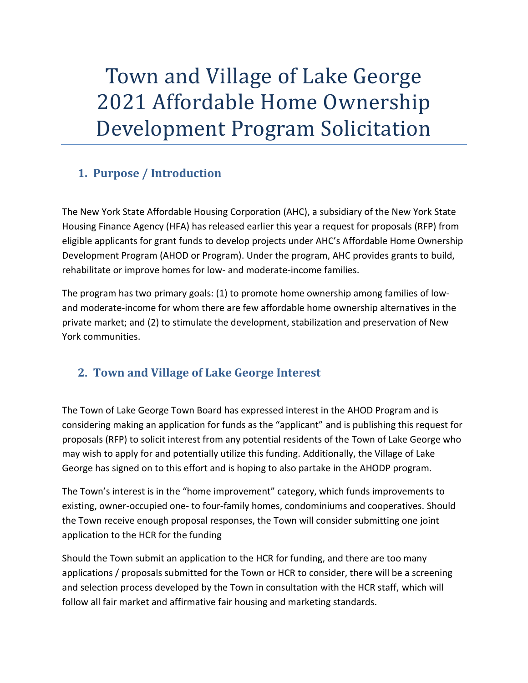# Town and Village of Lake George 2021 Affordable Home Ownership Development Program Solicitation

# **1. Purpose / Introduction**

The New York State Affordable Housing Corporation (AHC), a subsidiary of the New York State Housing Finance Agency (HFA) has released earlier this year a request for proposals (RFP) from eligible applicants for grant funds to develop projects under AHC's Affordable Home Ownership Development Program (AHOD or Program). Under the program, AHC provides grants to build, rehabilitate or improve homes for low- and moderate-income families.

The program has two primary goals: (1) to promote home ownership among families of lowand moderate-income for whom there are few affordable home ownership alternatives in the private market; and (2) to stimulate the development, stabilization and preservation of New York communities.

# **2. Town and Village of Lake George Interest**

The Town of Lake George Town Board has expressed interest in the AHOD Program and is considering making an application for funds as the "applicant" and is publishing this request for proposals (RFP) to solicit interest from any potential residents of the Town of Lake George who may wish to apply for and potentially utilize this funding. Additionally, the Village of Lake George has signed on to this effort and is hoping to also partake in the AHODP program.

The Town's interest is in the "home improvement" category, which funds improvements to existing, owner-occupied one- to four-family homes, condominiums and cooperatives. Should the Town receive enough proposal responses, the Town will consider submitting one joint application to the HCR for the funding

Should the Town submit an application to the HCR for funding, and there are too many applications / proposals submitted for the Town or HCR to consider, there will be a screening and selection process developed by the Town in consultation with the HCR staff, which will follow all fair market and affirmative fair housing and marketing standards.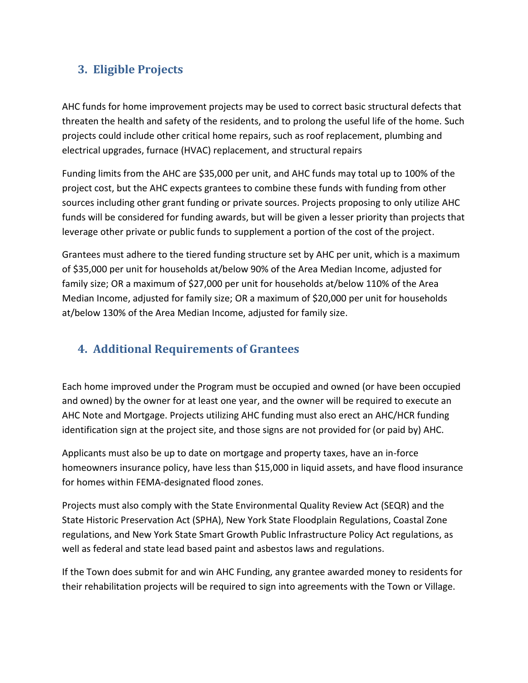### **3. Eligible Projects**

AHC funds for home improvement projects may be used to correct basic structural defects that threaten the health and safety of the residents, and to prolong the useful life of the home. Such projects could include other critical home repairs, such as roof replacement, plumbing and electrical upgrades, furnace (HVAC) replacement, and structural repairs

Funding limits from the AHC are \$35,000 per unit, and AHC funds may total up to 100% of the project cost, but the AHC expects grantees to combine these funds with funding from other sources including other grant funding or private sources. Projects proposing to only utilize AHC funds will be considered for funding awards, but will be given a lesser priority than projects that leverage other private or public funds to supplement a portion of the cost of the project.

Grantees must adhere to the tiered funding structure set by AHC per unit, which is a maximum of \$35,000 per unit for households at/below 90% of the Area Median Income, adjusted for family size; OR a maximum of \$27,000 per unit for households at/below 110% of the Area Median Income, adjusted for family size; OR a maximum of \$20,000 per unit for households at/below 130% of the Area Median Income, adjusted for family size.

## **4. Additional Requirements of Grantees**

Each home improved under the Program must be occupied and owned (or have been occupied and owned) by the owner for at least one year, and the owner will be required to execute an AHC Note and Mortgage. Projects utilizing AHC funding must also erect an AHC/HCR funding identification sign at the project site, and those signs are not provided for (or paid by) AHC.

Applicants must also be up to date on mortgage and property taxes, have an in-force homeowners insurance policy, have less than \$15,000 in liquid assets, and have flood insurance for homes within FEMA-designated flood zones.

Projects must also comply with the State Environmental Quality Review Act (SEQR) and the State Historic Preservation Act (SPHA), New York State Floodplain Regulations, Coastal Zone regulations, and New York State Smart Growth Public Infrastructure Policy Act regulations, as well as federal and state lead based paint and asbestos laws and regulations.

If the Town does submit for and win AHC Funding, any grantee awarded money to residents for their rehabilitation projects will be required to sign into agreements with the Town or Village.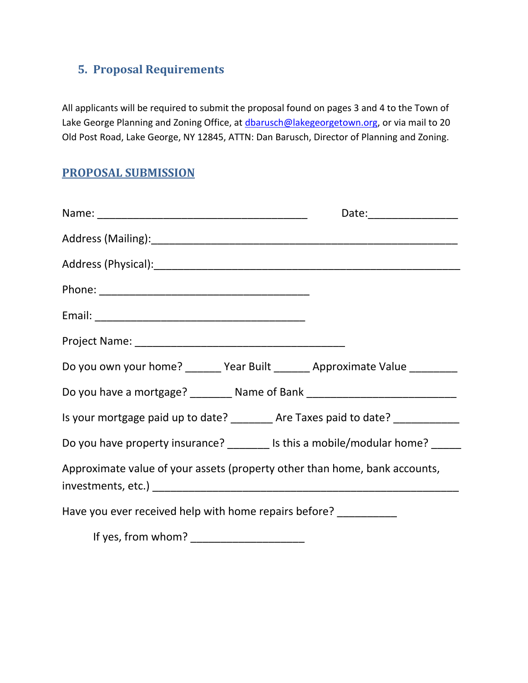# **5. Proposal Requirements**

All applicants will be required to submit the proposal found on pages 3 and 4 to the Town of Lake George Planning and Zoning Office, at [dbarusch@lakegeorgetown.org,](mailto:dbarusch@lakegeorgetown.org) or via mail to 20 Old Post Road, Lake George, NY 12845, ATTN: Dan Barusch, Director of Planning and Zoning.

## **PROPOSAL SUBMISSION**

| Do you own your home? _______ Year Built _______ Approximate Value _________     |  |  |
|----------------------------------------------------------------------------------|--|--|
| Do you have a mortgage? ________ Name of Bank __________________________________ |  |  |
| Is your mortgage paid up to date? _________ Are Taxes paid to date? ____________ |  |  |
| Do you have property insurance? ________ Is this a mobile/modular home? _____    |  |  |
| Approximate value of your assets (property other than home, bank accounts,       |  |  |
| Have you ever received help with home repairs before? __________                 |  |  |
|                                                                                  |  |  |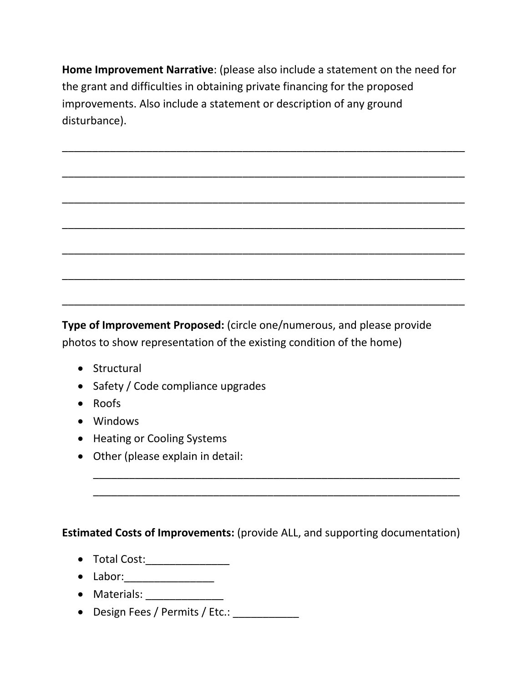**Home Improvement Narrative**: (please also include a statement on the need for the grant and difficulties in obtaining private financing for the proposed improvements. Also include a statement or description of any ground disturbance).



**Type of Improvement Proposed:** (circle one/numerous, and please provide photos to show representation of the existing condition of the home)

- Structural
- Safety / Code compliance upgrades
- Roofs
- Windows
- Heating or Cooling Systems
- Other (please explain in detail:

#### **Estimated Costs of Improvements:** (provide ALL, and supporting documentation)

\_\_\_\_\_\_\_\_\_\_\_\_\_\_\_\_\_\_\_\_\_\_\_\_\_\_\_\_\_\_\_\_\_\_\_\_\_\_\_\_\_\_\_\_\_\_\_\_\_\_\_\_\_\_\_\_\_\_\_\_\_ \_\_\_\_\_\_\_\_\_\_\_\_\_\_\_\_\_\_\_\_\_\_\_\_\_\_\_\_\_\_\_\_\_\_\_\_\_\_\_\_\_\_\_\_\_\_\_\_\_\_\_\_\_\_\_\_\_\_\_\_\_

- Total Cost:\_\_\_\_\_\_\_\_\_\_\_\_\_\_\_\_\_
- Labor:\_\_\_\_\_\_\_\_\_\_\_\_\_\_\_
- Materials: \_\_\_\_\_\_\_\_\_\_\_\_\_
- Design Fees / Permits / Etc.: